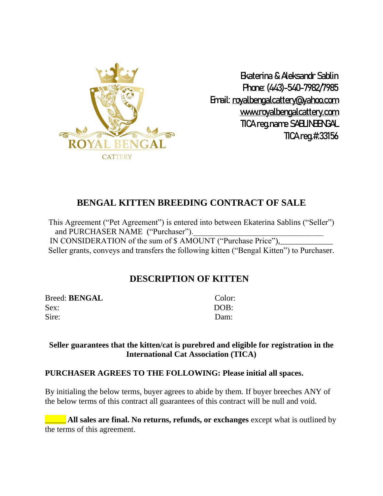

Ekaterina & Aleksandr Sablin Phone: (443)-540-7982/7985 Email: [royalbengalcattery@yahoo.com](mailto:royalbengalcattery@yahoo.com) [www.royalbengalcattery.com](http://www.royalbengalcattery.com/) TICA reg.name SABLINBENGAL TICA reg.#:33156

## **BENGAL KITTEN BREEDING CONTRACT OF SALE**

This Agreement ("Pet Agreement") is entered into between Ekaterina Sablins ("Seller") and PURCHASER NAME ("Purchaser"). IN CONSIDERATION of the sum of \$ AMOUNT ("Purchase Price"), Seller grants, conveys and transfers the following kitten ("Bengal Kitten") to Purchaser.

## **DESCRIPTION OF KITTEN**

Breed: **BENGAL** Color: Sex: DOB: Sire: Dam:

#### **Seller guarantees that the kitten/cat is purebred and eligible for registration in the International Cat Association (TICA)**

#### **PURCHASER AGREES TO THE FOLLOWING: Please initial all spaces.**

By initialing the below terms, buyer agrees to abide by them. If buyer breeches ANY of the below terms of this contract all guarantees of this contract will be null and void.

**All sales are final. No returns, refunds, or exchanges** except what is outlined by the terms of this agreement.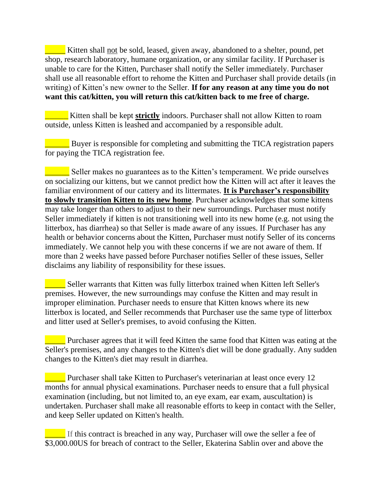Kitten shall not be sold, leased, given away, abandoned to a shelter, pound, pet shop, research laboratory, humane organization, or any similar facility. If Purchaser is unable to care for the Kitten, Purchaser shall notify the Seller immediately. Purchaser shall use all reasonable effort to rehome the Kitten and Purchaser shall provide details (in writing) of Kitten's new owner to the Seller. **If for any reason at any time you do not want this cat/kitten, you will return this cat/kitten back to me free of charge.**

**<u>Lacker Statistical</u>** Kitten shall be kept **strictly** indoors. Purchaser shall not allow Kitten to roam outside, unless Kitten is leashed and accompanied by a responsible adult.

\_\_\_\_\_\_ Buyer is responsible for completing and submitting the TICA registration papers for paying the TICA registration fee.

**EXECUTE:** Seller makes no guarantees as to the Kitten's temperament. We pride ourselves on socializing our kittens, but we cannot predict how the Kitten will act after it leaves the familiar environment of our cattery and its littermates. **It is Purchaser's responsibility to slowly transition Kitten to its new home**. Purchaser acknowledges that some kittens may take longer than others to adjust to their new surroundings. Purchaser must notify Seller immediately if kitten is not transitioning well into its new home (e.g. not using the litterbox, has diarrhea) so that Seller is made aware of any issues. If Purchaser has any health or behavior concerns about the Kitten, Purchaser must notify Seller of its concerns immediately. We cannot help you with these concerns if we are not aware of them. If more than 2 weeks have passed before Purchaser notifies Seller of these issues, Seller disclaims any liability of responsibility for these issues.

**EXECUTE:** Seller warrants that Kitten was fully litterbox trained when Kitten left Seller's premises. However, the new surroundings may confuse the Kitten and may result in improper elimination. Purchaser needs to ensure that Kitten knows where its new litterbox is located, and Seller recommends that Purchaser use the same type of litterbox and litter used at Seller's premises, to avoid confusing the Kitten.

**The Purchaser agrees that it will feed Kitten the same food that Kitten was eating at the** Seller's premises, and any changes to the Kitten's diet will be done gradually. Any sudden changes to the Kitten's diet may result in diarrhea.

\_\_\_\_\_ Purchaser shall take Kitten to Purchaser's veterinarian at least once every 12 months for annual physical examinations. Purchaser needs to ensure that a full physical examination (including, but not limited to, an eye exam, ear exam, auscultation) is undertaken. Purchaser shall make all reasonable efforts to keep in contact with the Seller, and keep Seller updated on Kitten's health.

**EXECUTE:** If this contract is breached in any way, Purchaser will owe the seller a fee of \$3,000.00US for breach of contract to the Seller, Ekaterina Sablin over and above the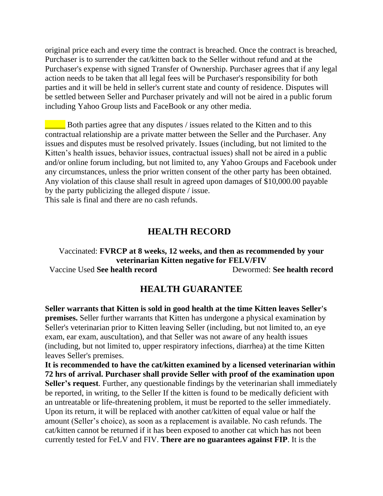original price each and every time the contract is breached. Once the contract is breached, Purchaser is to surrender the cat/kitten back to the Seller without refund and at the Purchaser's expense with signed Transfer of Ownership. Purchaser agrees that if any legal action needs to be taken that all legal fees will be Purchaser's responsibility for both parties and it will be held in seller's current state and county of residence. Disputes will be settled between Seller and Purchaser privately and will not be aired in a public forum including Yahoo Group lists and FaceBook or any other media.

Both parties agree that any disputes / issues related to the Kitten and to this contractual relationship are a private matter between the Seller and the Purchaser. Any issues and disputes must be resolved privately. Issues (including, but not limited to the Kitten's health issues, behavior issues, contractual issues) shall not be aired in a public and/or online forum including, but not limited to, any Yahoo Groups and Facebook under any circumstances, unless the prior written consent of the other party has been obtained. Any violation of this clause shall result in agreed upon damages of \$10,000.00 payable by the party publicizing the alleged dispute / issue.

This sale is final and there are no cash refunds.

## **HEALTH RECORD**

#### Vaccinated: **FVRCP at 8 weeks, 12 weeks, and then as recommended by your veterinarian Kitten negative for FELV/FIV** Vaccine Used **See health record** Dewormed: **See health record**

## **HEALTH GUARANTEE**

**Seller warrants that Kitten is sold in good health at the time Kitten leaves Seller's premises.** Seller further warrants that Kitten has undergone a physical examination by Seller's veterinarian prior to Kitten leaving Seller (including, but not limited to, an eye exam, ear exam, auscultation), and that Seller was not aware of any health issues (including, but not limited to, upper respiratory infections, diarrhea) at the time Kitten leaves Seller's premises.

**It is recommended to have the cat/kitten examined by a licensed veterinarian within 72 hrs of arrival. Purchaser shall provide Seller with proof of the examination upon Seller's request**. Further, any questionable findings by the veterinarian shall immediately be reported, in writing, to the Seller If the kitten is found to be medically deficient with an untreatable or life-threatening problem, it must be reported to the seller immediately. Upon its return, it will be replaced with another cat/kitten of equal value or half the amount (Seller's choice), as soon as a replacement is available. No cash refunds. The cat/kitten cannot be returned if it has been exposed to another cat which has not been currently tested for FeLV and FIV. **There are no guarantees against FIP**. It is the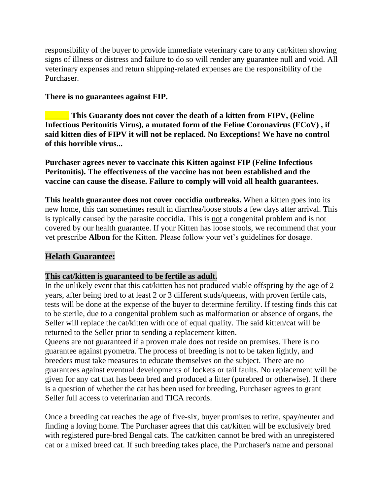responsibility of the buyer to provide immediate veterinary care to any cat/kitten showing signs of illness or distress and failure to do so will render any guarantee null and void. All veterinary expenses and return shipping-related expenses are the responsibility of the Purchaser.

#### **There is no guarantees against FIP.**

\_\_\_\_\_\_ **This Guaranty does not cover the death of a kitten from FIPV, (Feline Infectious Peritonitis Virus), a mutated form of the Feline Coronavirus (FCoV) , if said kitten dies of FIPV it will not be replaced. No Exceptions! We have no control of this horrible virus...**

**Purchaser agrees never to vaccinate this Kitten against FIP (Feline Infectious Peritonitis). The effectiveness of the vaccine has not been established and the vaccine can cause the disease. Failure to comply will void all health guarantees.**

**This health guarantee does not cover coccidia outbreaks.** When a kitten goes into its new home, this can sometimes result in diarrhea/loose stools a few days after arrival. This is typically caused by the parasite coccidia. This is not a congenital problem and is not covered by our health guarantee. If your Kitten has loose stools, we recommend that your vet prescribe **Albon** for the Kitten. Please follow your vet's guidelines for dosage.

## **Helath Guarantee:**

### **This cat/kitten is guaranteed to be fertile as adult.**

In the unlikely event that this cat/kitten has not produced viable offspring by the age of 2 years, after being bred to at least 2 or 3 different studs/queens, with proven fertile cats, tests will be done at the expense of the buyer to determine fertility. If testing finds this cat to be sterile, due to a congenital problem such as malformation or absence of organs, the Seller will replace the cat/kitten with one of equal quality. The said kitten/cat will be returned to the Seller prior to sending a replacement kitten.

Queens are not guaranteed if a proven male does not reside on premises. There is no guarantee against pyometra. The process of breeding is not to be taken lightly, and breeders must take measures to educate themselves on the subject. There are no guarantees against eventual developments of lockets or tail faults. No replacement will be given for any cat that has been bred and produced a litter (purebred or otherwise). If there is a question of whether the cat has been used for breeding, Purchaser agrees to grant Seller full access to veterinarian and TICA records.

Once a breeding cat reaches the age of five-six, buyer promises to retire, spay/neuter and finding a loving home. The Purchaser agrees that this cat/kitten will be exclusively bred with registered pure-bred Bengal cats. The cat/kitten cannot be bred with an unregistered cat or a mixed breed cat. If such breeding takes place, the Purchaser's name and personal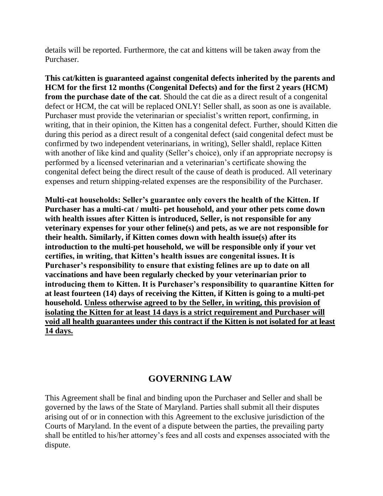details will be reported. Furthermore, the cat and kittens will be taken away from the Purchaser.

**This cat/kitten is guaranteed against congenital defects inherited by the parents and HCM for the first 12 months (Congenital Defects) and for the first 2 years (HCM) from the purchase date of the cat**. Should the cat die as a direct result of a congenital defect or HCM, the cat will be replaced ONLY! Seller shall, as soon as one is available. Purchaser must provide the veterinarian or specialist's written report, confirming, in writing, that in their opinion, the Kitten has a congenital defect. Further, should Kitten die during this period as a direct result of a congenital defect (said congenital defect must be confirmed by two independent veterinarians, in writing), Seller shaldl, replace Kitten with another of like kind and quality (Seller's choice), only if an appropriate necropsy is performed by a licensed veterinarian and a veterinarian's certificate showing the congenital defect being the direct result of the cause of death is produced. All veterinary expenses and return shipping-related expenses are the responsibility of the Purchaser.

**Multi-cat households: Seller's guarantee only covers the health of the Kitten. If Purchaser has a multi-cat / multi- pet household, and your other pets come down with health issues after Kitten is introduced, Seller, is not responsible for any veterinary expenses for your other feline(s) and pets, as we are not responsible for their health. Similarly, if Kitten comes down with health issue(s) after its introduction to the multi-pet household, we will be responsible only if your vet certifies, in writing, that Kitten's health issues are congenital issues. It is Purchaser's responsibility to ensure that existing felines are up to date on all vaccinations and have been regularly checked by your veterinarian prior to introducing them to Kitten. It is Purchaser's responsibility to quarantine Kitten for at least fourteen (14) days of receiving the Kitten, if Kitten is going to a multi-pet household. Unless otherwise agreed to by the Seller, in writing, this provision of isolating the Kitten for at least 14 days is a strict requirement and Purchaser will void all health guarantees under this contract if the Kitten is not isolated for at least 14 days.**

## **GOVERNING LAW**

This Agreement shall be final and binding upon the Purchaser and Seller and shall be governed by the laws of the State of Maryland. Parties shall submit all their disputes arising out of or in connection with this Agreement to the exclusive jurisdiction of the Courts of Maryland. In the event of a dispute between the parties, the prevailing party shall be entitled to his/her attorney's fees and all costs and expenses associated with the dispute.